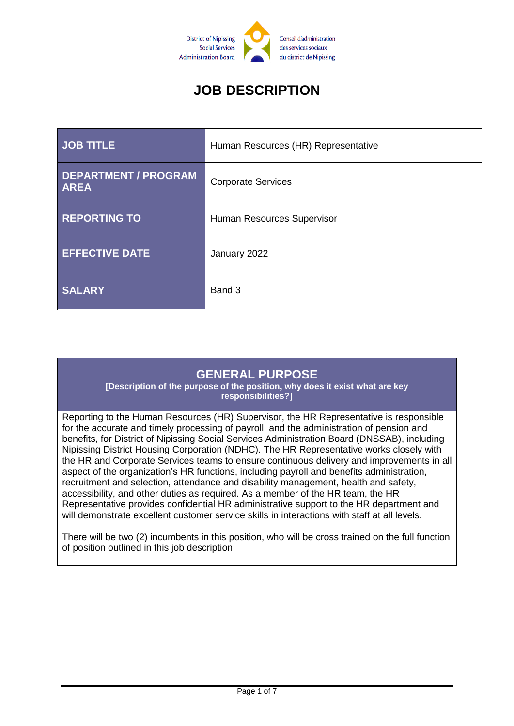

# **JOB DESCRIPTION**

| <b>JOB TITLE</b>                           | Human Resources (HR) Representative |
|--------------------------------------------|-------------------------------------|
| <b>DEPARTMENT / PROGRAM</b><br><b>AREA</b> | <b>Corporate Services</b>           |
| <b>REPORTING TO</b>                        | Human Resources Supervisor          |
| <b>EFFECTIVE DATE</b>                      | January 2022                        |
| <b>SALARY</b>                              | Band 3                              |

# **GENERAL PURPOSE**

**[Description of the purpose of the position, why does it exist what are key responsibilities?]**

Reporting to the Human Resources (HR) Supervisor, the HR Representative is responsible for the accurate and timely processing of payroll, and the administration of pension and benefits, for District of Nipissing Social Services Administration Board (DNSSAB), including Nipissing District Housing Corporation (NDHC). The HR Representative works closely with the HR and Corporate Services teams to ensure continuous delivery and improvements in all aspect of the organization's HR functions, including payroll and benefits administration, recruitment and selection, attendance and disability management, health and safety, accessibility, and other duties as required. As a member of the HR team, the HR Representative provides confidential HR administrative support to the HR department and will demonstrate excellent customer service skills in interactions with staff at all levels.

There will be two (2) incumbents in this position, who will be cross trained on the full function of position outlined in this job description.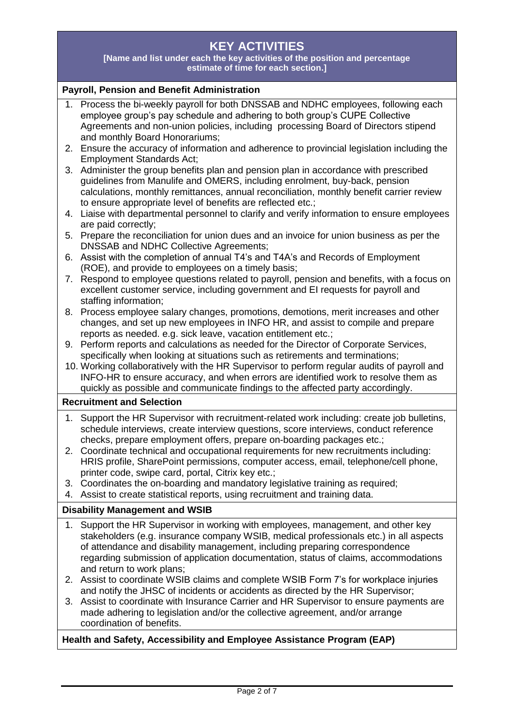# **KEY ACTIVITIES**

**[Name and list under each the key activities of the position and percentage estimate of time for each section.]**

#### **Payroll, Pension and Benefit Administration**

- 1. Process the bi-weekly payroll for both DNSSAB and NDHC employees, following each employee group's pay schedule and adhering to both group's CUPE Collective Agreements and non-union policies, including processing Board of Directors stipend and monthly Board Honorariums;
- 2. Ensure the accuracy of information and adherence to provincial legislation including the Employment Standards Act;
- 3. Administer the group benefits plan and pension plan in accordance with prescribed guidelines from Manulife and OMERS, including enrolment, buy-back, pension calculations, monthly remittances, annual reconciliation, monthly benefit carrier review to ensure appropriate level of benefits are reflected etc.;
- 4. Liaise with departmental personnel to clarify and verify information to ensure employees are paid correctly;
- 5. Prepare the reconciliation for union dues and an invoice for union business as per the DNSSAB and NDHC Collective Agreements;
- 6. Assist with the completion of annual T4's and T4A's and Records of Employment (ROE), and provide to employees on a timely basis;
- 7. Respond to employee questions related to payroll, pension and benefits, with a focus on excellent customer service, including government and EI requests for payroll and staffing information;
- 8. Process employee salary changes, promotions, demotions, merit increases and other changes, and set up new employees in INFO HR, and assist to compile and prepare reports as needed. e.g. sick leave, vacation entitlement etc.;
- 9. Perform reports and calculations as needed for the Director of Corporate Services, specifically when looking at situations such as retirements and terminations;
- 10. Working collaboratively with the HR Supervisor to perform regular audits of payroll and INFO-HR to ensure accuracy, and when errors are identified work to resolve them as quickly as possible and communicate findings to the affected party accordingly.

#### **Recruitment and Selection**

- 1. Support the HR Supervisor with recruitment-related work including: create job bulletins, schedule interviews, create interview questions, score interviews, conduct reference checks, prepare employment offers, prepare on-boarding packages etc.;
- 2. Coordinate technical and occupational requirements for new recruitments including: HRIS profile, SharePoint permissions, computer access, email, telephone/cell phone, printer code, swipe card, portal, Citrix key etc.;
- 3. Coordinates the on-boarding and mandatory legislative training as required;
- 4. Assist to create statistical reports, using recruitment and training data.

#### **Disability Management and WSIB**

- 1. Support the HR Supervisor in working with employees, management, and other key stakeholders (e.g. insurance company WSIB, medical professionals etc.) in all aspects of attendance and disability management, including preparing correspondence regarding submission of application documentation, status of claims, accommodations and return to work plans;
- 2. Assist to coordinate WSIB claims and complete WSIB Form 7's for workplace injuries and notify the JHSC of incidents or accidents as directed by the HR Supervisor;
- 3. Assist to coordinate with Insurance Carrier and HR Supervisor to ensure payments are made adhering to legislation and/or the collective agreement, and/or arrange coordination of benefits.

#### **Health and Safety, Accessibility and Employee Assistance Program (EAP)**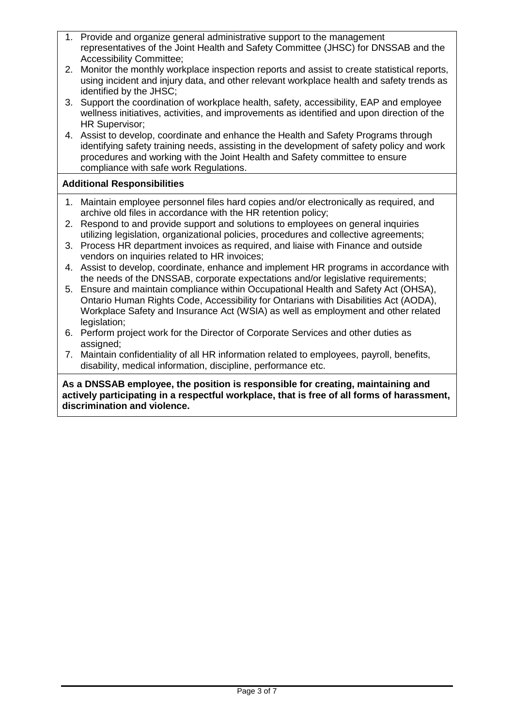- 1. Provide and organize general administrative support to the management representatives of the Joint Health and Safety Committee (JHSC) for DNSSAB and the Accessibility Committee;
- 2. Monitor the monthly workplace inspection reports and assist to create statistical reports, using incident and injury data, and other relevant workplace health and safety trends as identified by the JHSC;
- 3. Support the coordination of workplace health, safety, accessibility, EAP and employee wellness initiatives, activities, and improvements as identified and upon direction of the HR Supervisor;
- 4. Assist to develop, coordinate and enhance the Health and Safety Programs through identifying safety training needs, assisting in the development of safety policy and work procedures and working with the Joint Health and Safety committee to ensure compliance with safe work Regulations.

### **Additional Responsibilities**

- 1. Maintain employee personnel files hard copies and/or electronically as required, and archive old files in accordance with the HR retention policy;
- 2. Respond to and provide support and solutions to employees on general inquiries utilizing legislation, organizational policies, procedures and collective agreements;
- 3. Process HR department invoices as required, and liaise with Finance and outside vendors on inquiries related to HR invoices;
- 4. Assist to develop, coordinate, enhance and implement HR programs in accordance with the needs of the DNSSAB, corporate expectations and/or legislative requirements;
- 5. Ensure and maintain compliance within Occupational Health and Safety Act (OHSA), Ontario Human Rights Code, Accessibility for Ontarians with Disabilities Act (AODA), Workplace Safety and Insurance Act (WSIA) as well as employment and other related legislation:
- 6. Perform project work for the Director of Corporate Services and other duties as assigned;
- 7. Maintain confidentiality of all HR information related to employees, payroll, benefits, disability, medical information, discipline, performance etc.

**As a DNSSAB employee, the position is responsible for creating, maintaining and actively participating in a respectful workplace, that is free of all forms of harassment, discrimination and violence.**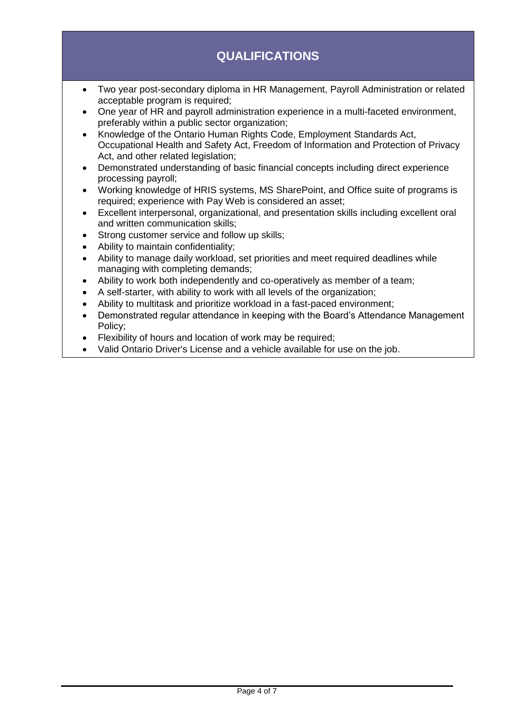# **QUALIFICATIONS**

- Two year post-secondary diploma in HR Management, Payroll Administration or related acceptable program is required;
- One year of HR and payroll administration experience in a multi-faceted environment, preferably within a public sector organization;
- Knowledge of the Ontario Human Rights Code, Employment Standards Act, Occupational Health and Safety Act, Freedom of Information and Protection of Privacy Act, and other related legislation;
- Demonstrated understanding of basic financial concepts including direct experience processing payroll;
- Working knowledge of HRIS systems, MS SharePoint, and Office suite of programs is required; experience with Pay Web is considered an asset;
- Excellent interpersonal, organizational, and presentation skills including excellent oral and written communication skills;
- Strong customer service and follow up skills;
- Ability to maintain confidentiality;
- Ability to manage daily workload, set priorities and meet required deadlines while managing with completing demands;
- Ability to work both independently and co-operatively as member of a team;
- A self-starter, with ability to work with all levels of the organization;
- Ability to multitask and prioritize workload in a fast-paced environment;
- Demonstrated regular attendance in keeping with the Board's Attendance Management Policy;
- Flexibility of hours and location of work may be required;
- Valid Ontario Driver's License and a vehicle available for use on the job.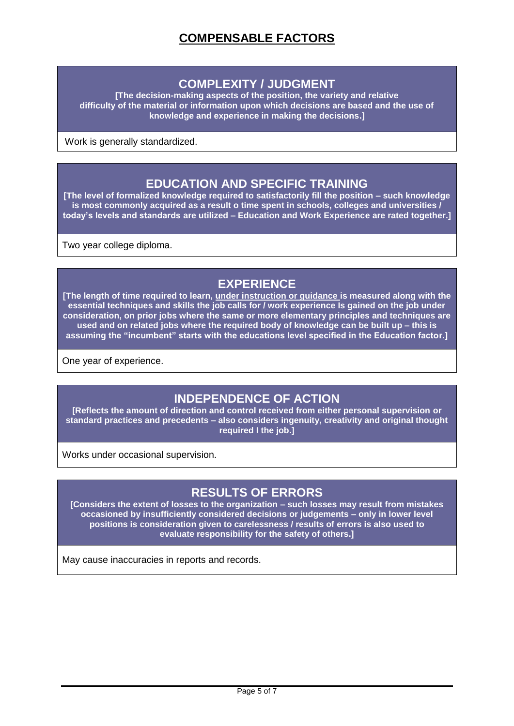### **COMPLEXITY / JUDGMENT**

**[The decision-making aspects of the position, the variety and relative difficulty of the material or information upon which decisions are based and the use of knowledge and experience in making the decisions.]**

Work is generally standardized.

### **EDUCATION AND SPECIFIC TRAINING**

**[The level of formalized knowledge required to satisfactorily fill the position – such knowledge is most commonly acquired as a result o time spent in schools, colleges and universities / today's levels and standards are utilized – Education and Work Experience are rated together.]**

Two year college diploma.

## **EXPERIENCE**

**[The length of time required to learn, under instruction or guidance is measured along with the essential techniques and skills the job calls for / work experience Is gained on the job under consideration, on prior jobs where the same or more elementary principles and techniques are used and on related jobs where the required body of knowledge can be built up – this is assuming the "incumbent" starts with the educations level specified in the Education factor.]**

One year of experience.

# **INDEPENDENCE OF ACTION**

**[Reflects the amount of direction and control received from either personal supervision or standard practices and precedents – also considers ingenuity, creativity and original thought required I the job.]**

Works under occasional supervision.

### **RESULTS OF ERRORS**

**[Considers the extent of losses to the organization – such losses may result from mistakes occasioned by insufficiently considered decisions or judgements – only in lower level positions is consideration given to carelessness / results of errors is also used to evaluate responsibility for the safety of others.]**

May cause inaccuracies in reports and records.